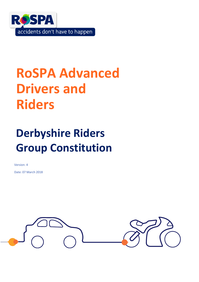

# **RoSPA Advanced Drivers and Riders**

## **Derbyshire Riders Group Constitution**

Version: 4

Date: 07 March 2018

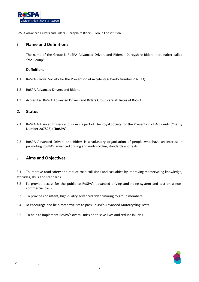

#### 1. **Name and Definitions**

The name of the Group is RoSPA Advanced Drivers and Riders - Derbyshire Riders, hereinafter called "the Group".

#### **Definitions**

- 1.1 RoSPA Royal Society for the Prevention of Accidents (Charity Number 207823).
- 1.2 RoSPA Advanced Drivers and Riders.
- 1.3 Accredited RoSPA Advanced Drivers and Riders Groups are affiliates of RoSPA.

#### **2. Status**

- 2.1 RoSPA Advanced Drivers and Riders is part of The Royal Society for the Prevention of Accidents (Charity Number 207823) ("**RoSPA**").
- 2.2 RoSPA Advanced Drivers and Riders is a voluntary organisation of people who have an interest in promoting RoSPA's advanced driving and motorcycling standards and tests.

#### 3. **Aims and Objectives**

3.1 To improve road safety and reduce road collisions and casualties by improving motorcycling knowledge, attitudes, skills and standards.

- 3.2 To provide access for the public to RoSPA's advanced driving and riding system and test on a noncommercial basis.
- 3.3 To provide consistent, high quality advanced rider tutoring to group members.
- 3.4 To encourage and help motorcyclists to pass RoSPA's Advanced Motorcycling Tests.
- 3.5 To help to implement RoSPA's overall mission to save lives and reduce injuries.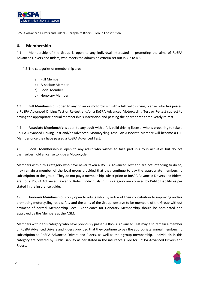

#### **4. Membership**

4.1 Membership of the Group is open to any individual interested in promoting the aims of RoSPA Advanced Drivers and Riders, who meets the admission criteria set out in 4.2 to 4.5.

4.2 The categories of membership are: -

- a) Full Member
- b) Associate Member
- c) Social Member
- d) Honorary Member

4.3 **Full Membership** is open to any driver or motorcyclist with a full, valid driving license, who has passed a RoSPA Advanced Driving Test or Re-test and/or a RoSPA Advanced Motorcycling Test or Re-test subject to paying the appropriate annual membership subscription and passing the appropriate three-yearly re-test.

4.4 **Associate Membership** is open to any adult with a full, valid driving license, who is preparing to take a RoSPA Advanced Driving Test and/or Advanced Motorcycling Test. An Associate Member will become a Full Member once they have passed a RoSPA Advanced Test.

4.5 **Social Membership** is open to any adult who wishes to take part in Group activities but do not themselves hold a license to Ride a Motorcycle.

Members within this category who have never taken a RoSPA Advanced Test and are not intending to do so, may remain a member of the local group provided that they continue to pay the appropriate membership subscription to the group. They do not pay a membership subscription to RoSPA Advanced Drivers and Riders, are not a RoSPA Advanced Driver or Rider. Individuals in this category are covered by Public Liability as per stated in the insurance guide.

4.6 **Honorary Membership** is only open to adults who, by virtue of their contribution to improving and/or promoting motorcycling road safety and the aims of the Group, deserve to be members of the Group without payment of normal Membership Fees. Candidates for Honorary Membership should be nominated and approved by the Members at the AGM.

Members within this category who have previously passed a RoSPA Advanced Test may also remain a member of RoSPA Advanced Drivers and Riders provided that they continue to pay the appropriate annual membership subscription to RoSPA Advanced Drivers and Riders, as well as their group membership. Individuals in this category are covered by Public Liability as per stated in the insurance guide for RoSPA Advanced Drivers and Riders.

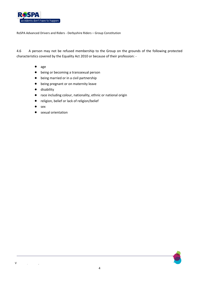

4.6 A person may not be refused membership to the Group on the grounds of the following protected characteristics covered by the Equality Act 2010 or because of their profession: -

- age
- being or becoming a transsexual person
- being married or in a civil partnership
- being pregnant or on maternity leave
- disability
- race including colour, nationality, ethnic or national origin
- religion, belief or lack of religion/belief
- sex
- sexual orientation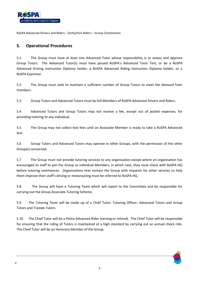

### **5. Operational Procedures**

5.1 The Group must have at least one Advanced Tutor whose responsibility is to assess and approve Group Tutors. The Advanced Tutor(s) must have passed RoSPA's Advanced Tutor Test, or be a RoSPA Advanced Driving Instruction Diploma holder, a RoSPA Advanced Riding Instruction Diploma holder, or a RoSPA Examiner.

5.2 The Group must seek to maintain a sufficient number of Group Tutors to meet the demand from members.

5.3 Group Tutors and Advanced Tutors must be full Members of RoSPA Advanced Drivers and Riders.

5.4 Advanced Tutors and Group Tutors may not receive a fee, except out of pocket expenses, for providing tutoring to any individual.

5.5 The Group may not collect test fees until an Associate Member is ready to take a RoSPA Advanced test.

5.6 Group Tutors and Advanced Tutors may operate in other Groups, with the permission of the other Group(s) concerned.

5.7 The Group must not provide tutoring services to any organisation except where an organisation has encouraged its staff to join the Group as individual Members, in which case, they must check with RoSPA HQ before tutoring commences. Organisations that contact the Group with requests for other services to help them improve their staff's driving or motorcycling must be referred to RoSPA HQ.

5.8 The Group will have a Tutoring Team which will report to the Committee and be responsible for carrying out the Group Associate Tutoring Scheme.

5.9 The Tutoring Team will be made up of a Chief Tutor, Tutoring Officer, Advanced Tutors and Group Tutors and Trainee Tutors.

5.10 The Chief Tutor will be a Police Advanced Rider (serving or retired). The Chief Tutor will be responsible for ensuring that the riding of Tutors is maintained at a high standard by carrying out an annual check ride. The Chief Tutor will be an Honorary Member of the Group.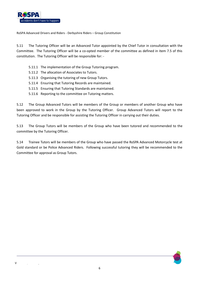

5.11 The Tutoring Officer will be an Advanced Tutor appointed by the Chief Tutor in consultation with the Committee. The Tutoring Officer will be a co-opted member of the committee as defined in item 7.5 of this constitution. The Tutoring Officer will be responsible for: -

- 5.11.1 The implementation of the Group Tutoring program.
- 5.11.2 The allocation of Associates to Tutors.
- 5.11.3 Organising the tutoring of new Group Tutors.
- 5.11.4 Ensuring that Tutoring Records are maintained.
- 5.11.5 Ensuring that Tutoring Standards are maintained.
- 5.11.6 Reporting to the committee on Tutoring matters.

5.12 The Group Advanced Tutors will be members of the Group or members of another Group who have been approved to work in the Group by the Tutoring Officer. Group Advanced Tutors will report to the Tutoring Officer and be responsible for assisting the Tutoring Officer in carrying out their duties.

5.13 The Group Tutors will be members of the Group who have been tutored and recommended to the committee by the Tutoring Officer.

5.14 Trainee Tutors will be members of the Group who have passed the RoSPA Advanced Motorcycle test at Gold standard or be Police Advanced Riders. Following successful tutoring they will be recommended to the Committee for approval as Group Tutors.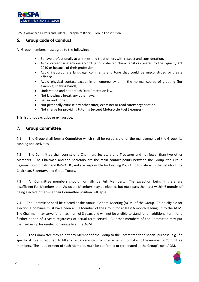

## **Group Code of Conduct**

All Group members must agree to the following: -

- Behave professionally at all times and treat others with respect and consideration.
- Avoid categorising anyone according to protected characteristics covered by the Equality Act 2010 or because of their profession.
- Avoid inappropriate language, comments and tone that could be misconstrued or create offence.
- Avoid physical contact except in an emergency or in the normal course of greeting (for example, shaking hands).
- Understand and not breach Data Protection law.
- Not knowingly break any other laws.
- Be fair and honest.
- Not personally criticise any other tutor, examiner or road safety organisation.
- Not charge for providing tutoring (except Motorcycle Fuel Expenses).

This list is not exclusive or exhaustive.

### **Group Committee**

7.1 The Group shall form a Committee which shall be responsible for the management of the Group, its running and activities.

7.2 The Committee shall consist of a Chairman, Secretary and Treasurer and not fewer than two other Members. The Chairman and the Secretary are the main contact points between the Group, the Group Regional Co-ordinator and RoSPA HQ and are responsible for keeping RoSPA up to date with the details of the Chairman, Secretary, and Group Tutors.

7.3 All Committee members should normally be Full Members. The exception being if there are insufficient Full Members then Associate Members may be elected, but must pass their test within 6 months of being elected, otherwise their Committee position will lapse.

7.4 The Committee shall be elected at the Annual General Meeting (AGM) of the Group. To be eligible for election a nominee must have been a Full Member of the Group for at least 6 month leading up to the AGM. The Chairman may serve for a maximum of 3 years and will not be eligible to stand for an additional term for a further period of 3 years regardless of actual term served. All other members of the Committee may put themselves up for re-election annually at the AGM.

7.5 The Committee may co-opt any Member of the Group to the Committee for a special purpose, e.g. if a specific skill set is required, to fill any casual vacancy which has arisen or to make up the number of Committee members. The appointment of such Members must be confirmed or terminated at the Group's next AGM.

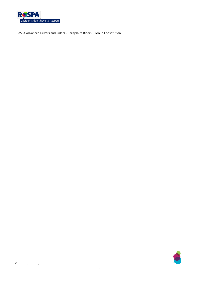

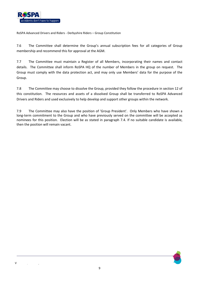

7.6 The Committee shall determine the Group's annual subscription fees for all categories of Group membership and recommend this for approval at the AGM.

7.7 The Committee must maintain a Register of all Members, incorporating their names and contact details. The Committee shall inform RoSPA HQ of the number of Members in the group on request. The Group must comply with the data protection act, and may only use Members' data for the purpose of the Group.

7.8 The Committee may choose to dissolve the Group, provided they follow the procedure in section 12 of this constitution. The resources and assets of a dissolved Group shall be transferred to RoSPA Advanced Drivers and Riders and used exclusively to help develop and support other groups within the network.

7.9 The Committee may also have the position of 'Group President'. Only Members who have shown a long-term commitment to the Group and who have previously served on the committee will be accepted as nominees for this position. Election will be as stated in paragraph 7.4. If no suitable candidate is available, then the position will remain vacant.

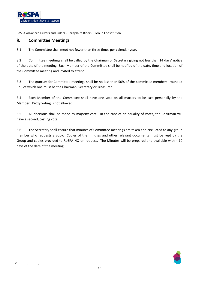

#### **Committee Meetings**

8.1 The Committee shall meet not fewer than three times per calendar year.

8.2 Committee meetings shall be called by the Chairman or Secretary giving not less than 14 days' notice of the date of the meeting. Each Member of the Committee shall be notified of the date, time and location of the Committee meeting and invited to attend.

8.3 The quorum for Committee meetings shall be no less than 50% of the committee members (rounded up), of which one must be the Chairman, Secretary or Treasurer.

8.4 Each Member of the Committee shall have one vote on all matters to be cast personally by the Member. Proxy voting is not allowed.

8.5 All decisions shall be made by majority vote. In the case of an equality of votes, the Chairman will have a second, casting vote.

8.6 The Secretary shall ensure that minutes of Committee meetings are taken and circulated to any group member who requests a copy. Copies of the minutes and other relevant documents must be kept by the Group and copies provided to RoSPA HQ on request. The Minutes will be prepared and available within 10 days of the date of the meeting.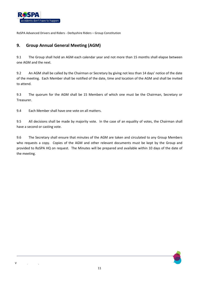

## **9. Group Annual General Meeting (AGM)**

9.1 The Group shall hold an AGM each calendar year and not more than 15 months shall elapse between one AGM and the next.

9.2 An AGM shall be called by the Chairman or Secretary by giving not less than 14 days' notice of the date of the meeting. Each Member shall be notified of the date, time and location of the AGM and shall be invited to attend.

9.3 The quorum for the AGM shall be 15 Members of which one must be the Chairman, Secretary or Treasurer.

9.4 Each Member shall have one vote on all matters.

9.5 All decisions shall be made by majority vote. In the case of an equality of votes, the Chairman shall have a second or casting vote.

9.6 The Secretary shall ensure that minutes of the AGM are taken and circulated to any Group Members who requests a copy. Copies of the AGM and other relevant documents must be kept by the Group and provided to RoSPA HQ on request. The Minutes will be prepared and available within 10 days of the date of the meeting.

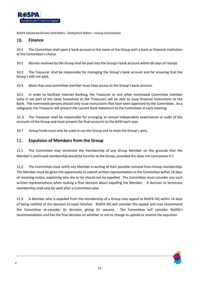

#### **Finance**

10.1 The Committee shall open a bank account in the name of the Group with a bank or financial institution of the Committee's choice.

10.2 Monies received by the Group shall be paid into the Group's bank account within 60 days of receipt.

10.3 The Treasurer shall be responsible for managing the Group's bank account and for ensuring that the Group's bills are paid.

10.4 More than one committee member must have access to the Group's bank account.

10.5 In order to facilitate Internet Banking, the Treasurer or one other nominated Committee member (who is not part of the same household as the Treasurer) will be able to issue financial instructions to the Bank. The nominated persons should only issue instructions that have been approved by the Committee. As a safeguard, the Treasurer will present the current Bank Statement to the Committee at each meeting.

10 .6 The Treasurer shall be responsible for arranging an annual independent examination or audit of the accounts of the Group and must present the final accounts to the AGM each year.

10.7 Group funds must only be used to run the Group and to meet the Group's aims.

#### **Expulsion of Members from the Group**

11.1 The Committee may terminate the membership of any Group Member on the grounds that the Member's continued membership would be harmful to the Group, provided this does not contravene 4.7.

11.2 The Committee must notify any Member in writing of their possible removal from Group membership. The Member must be given the opportunity to submit written representation to the Committee within 14 days of receiving notice, explaining why she or he should not be expelled. The Committee must consider any such written representations when making a final decision about expelling the Member. A decision to terminate membership shall only be valid after a Committee vote.

11.3 A Member who is expelled from the membership of a Group may appeal to RoSPA HQ within 14 days of being notified of the decision to expel him/her. RoSPA HQ will consider the appeal and may recommend the Committee re-consider its decision, giving its reasons. The Committee will consider RoSPA's recommendation and has the final decision on whether or not to change to uphold or reverse the expulsion.